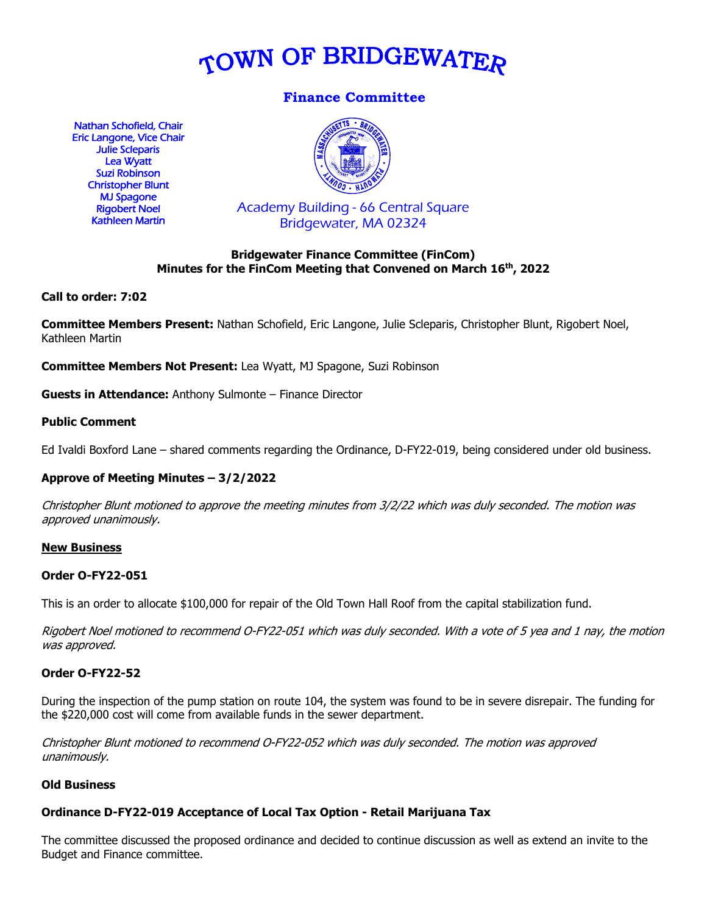

# **Finance Committee**

Nathan Schofield, Chair Eric Langone, Vice Chair Julie Scleparis Lea Wyatt Suzi Robinson Christopher Blunt MJ Spagone Rigobert Noel Kathleen Martin



Academy Building - 66 Central Square Bridgewater, MA 02324

# **Bridgewater Finance Committee (FinCom) Minutes for the FinCom Meeting that Convened on March 16th, 2022**

### **Call to order: 7:02**

**Committee Members Present:** Nathan Schofield, Eric Langone, Julie Scleparis, Christopher Blunt, Rigobert Noel, Kathleen Martin

**Committee Members Not Present:** Lea Wyatt, MJ Spagone, Suzi Robinson

**Guests in Attendance:** Anthony Sulmonte – Finance Director

### **Public Comment**

Ed Ivaldi Boxford Lane – shared comments regarding the Ordinance, D-FY22-019, being considered under old business.

# **Approve of Meeting Minutes – 3/2/2022**

Christopher Blunt motioned to approve the meeting minutes from 3/2/22 which was duly seconded. The motion was approved unanimously.

#### **New Business**

#### **Order O-FY22-051**

This is an order to allocate \$100,000 for repair of the Old Town Hall Roof from the capital stabilization fund.

Rigobert Noel motioned to recommend O-FY22-051 which was duly seconded. With a vote of 5 yea and 1 nay, the motion was approved.

#### **Order O-FY22-52**

During the inspection of the pump station on route 104, the system was found to be in severe disrepair. The funding for the \$220,000 cost will come from available funds in the sewer department.

Christopher Blunt motioned to recommend O-FY22-052 which was duly seconded. The motion was approved unanimously.

#### **Old Business**

# **Ordinance D-FY22-019 Acceptance of Local Tax Option - Retail Marijuana Tax**

The committee discussed the proposed ordinance and decided to continue discussion as well as extend an invite to the Budget and Finance committee.